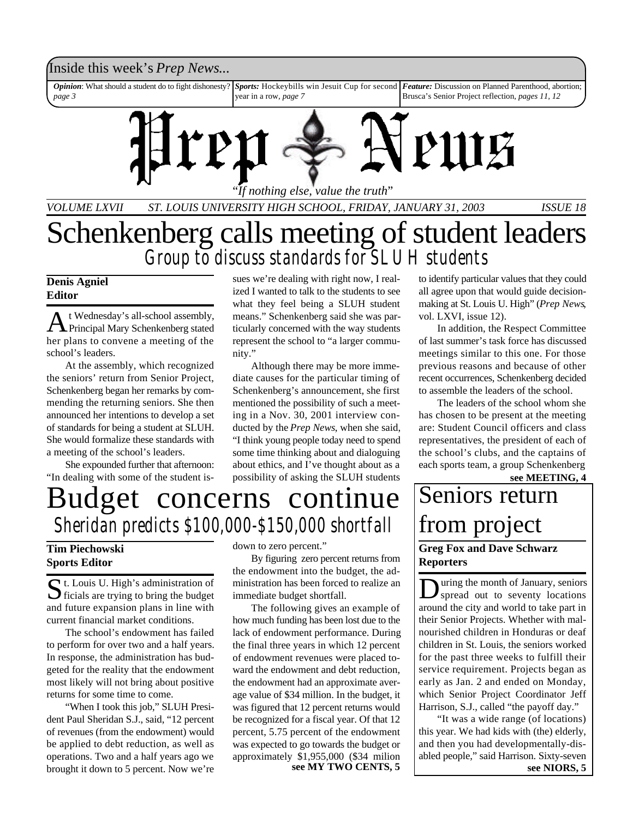### Inside this week's *Prep News*...

*Opinion*: What should a student do to fight dishonesty? *page 3 Sports:* Hockeybills win Jesuit Cup for second *Feature:* Discussion on Planned Parenthood, abortion; year in a row, *page 7* Brusca's Senior Project reflection, *pages 11, 12*



*VOLUME LXVII ST. LOUIS UNIVERSITY HIGH SCHOOL, FRIDAY, JANUARY 31, 2003 ISSUE 18*

# Schenkenberg calls meeting of student leaders *Group to discuss standards for SLUH students*

### **Denis Agniel Editor**

A t Wednesday's all-school assembly,<br>Principal Mary Schenkenberg stated t Wednesday's all-school assembly, her plans to convene a meeting of the school's leaders.

At the assembly, which recognized the seniors' return from Senior Project, Schenkenberg began her remarks by commending the returning seniors. She then announced her intentions to develop a set of standards for being a student at SLUH. She would formalize these standards with a meeting of the school's leaders.

She expounded further that afternoon: "In dealing with some of the student issues we're dealing with right now, I realized I wanted to talk to the students to see what they feel being a SLUH student means." Schenkenberg said she was particularly concerned with the way students represent the school to "a larger community."

Although there may be more immediate causes for the particular timing of Schenkenberg's announcement, she first mentioned the possibility of such a meeting in a Nov. 30, 2001 interview conducted by the *Prep News*, when she said, "I think young people today need to spend some time thinking about and dialoguing about ethics, and I've thought about as a possibility of asking the SLUH students to identify particular values that they could all agree upon that would guide decisionmaking at St. Louis U. High" (*Prep News*, vol. LXVI, issue 12).

In addition, the Respect Committee of last summer's task force has discussed meetings similar to this one. For those previous reasons and because of other recent occurrences, Schenkenberg decided to assemble the leaders of the school.

The leaders of the school whom she has chosen to be present at the meeting are: Student Council officers and class representatives, the president of each of the school's clubs, and the captains of each sports team, a group Schenkenberg **see MEETING, 4**

# Budget concerns continue *Sheridan predicts \$100,000-\$150,000 shortfall*

### **Tim Piechowski Sports Editor**

St. Louis U. High's administration of<br>ficials are trying to bring the budget  $\sum$  ficials are trying to bring the budget and future expansion plans in line with current financial market conditions.

The school's endowment has failed to perform for over two and a half years. In response, the administration has budgeted for the reality that the endowment most likely will not bring about positive returns for some time to come.

"When I took this job," SLUH President Paul Sheridan S.J., said, "12 percent of revenues (from the endowment) would be applied to debt reduction, as well as operations. Two and a half years ago we brought it down to 5 percent. Now we're

down to zero percent."

By figuring zero percent returns from the endowment into the budget, the administration has been forced to realize an immediate budget shortfall.

The following gives an example of how much funding has been lost due to the lack of endowment performance. During the final three years in which 12 percent of endowment revenues were placed toward the endowment and debt reduction, the endowment had an approximate average value of \$34 million. In the budget, it was figured that 12 percent returns would be recognized for a fiscal year. Of that 12 percent, 5.75 percent of the endowment was expected to go towards the budget or approximately \$1,955,000 (\$34 milion **see MY TWO CENTS, 5**

## **Greg Fox and Dave Schwarz Reporters** Seniors return from project

 $\sum$  uring the month of January, seniors<br>spread out to seventy locations spread out to seventy locations around the city and world to take part in their Senior Projects. Whether with malnourished children in Honduras or deaf children in St. Louis, the seniors worked for the past three weeks to fulfill their service requirement. Projects began as early as Jan. 2 and ended on Monday, which Senior Project Coordinator Jeff Harrison, S.J., called "the payoff day."

"It was a wide range (of locations) this year. We had kids with (the) elderly, and then you had developmentally-disabled people," said Harrison. Sixty-seven **see NIORS, 5**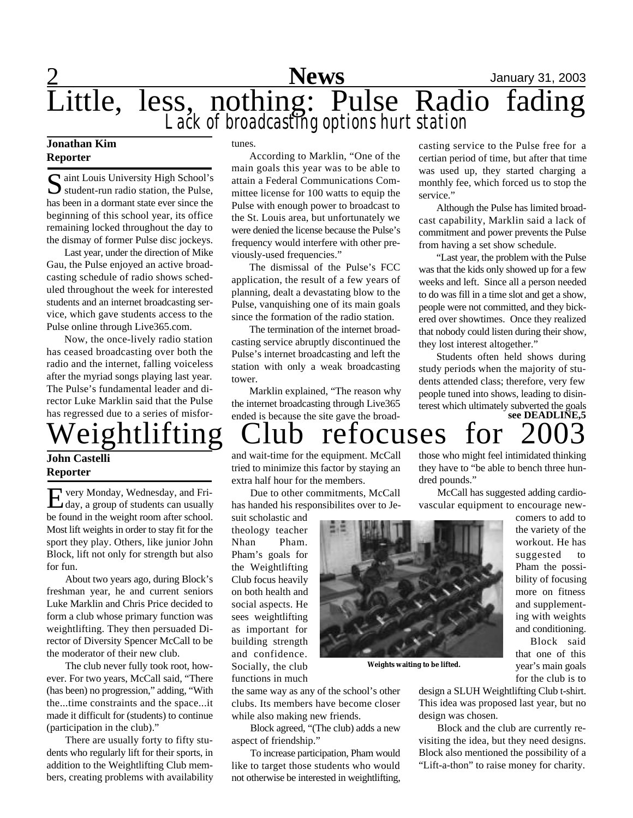

#### **Jonathan Kim Reporter**

Saint Louis University High School's<br>student-run radio station, the Pulse, aint Louis University High School's has been in a dormant state ever since the beginning of this school year, its office remaining locked throughout the day to the dismay of former Pulse disc jockeys.

Last year, under the direction of Mike Gau, the Pulse enjoyed an active broadcasting schedule of radio shows scheduled throughout the week for interested students and an internet broadcasting service, which gave students access to the Pulse online through Live365.com.

Now, the once-lively radio station has ceased broadcasting over both the radio and the internet, falling voiceless after the myriad songs playing last year. The Pulse's fundamental leader and director Luke Marklin said that the Pulse has regressed due to a series of misfor-

### **John Castelli Reporter**

E very Monday, Wednesday, and Fri-<br>day, a group of students can usually very Monday, Wednesday, and Fribe found in the weight room after school. Most lift weights in order to stay fit for the sport they play. Others, like junior John Block, lift not only for strength but also for fun.

About two years ago, during Block's freshman year, he and current seniors Luke Marklin and Chris Price decided to form a club whose primary function was weightlifting. They then persuaded Director of Diversity Spencer McCall to be the moderator of their new club.

The club never fully took root, however. For two years, McCall said, "There (has been) no progression," adding, "With the...time constraints and the space...it made it difficult for (students) to continue (participation in the club)."

There are usually forty to fifty students who regularly lift for their sports, in addition to the Weightlifting Club members, creating problems with availability tunes.

According to Marklin, "One of the main goals this year was to be able to attain a Federal Communications Committee license for 100 watts to equip the Pulse with enough power to broadcast to the St. Louis area, but unfortunately we were denied the license because the Pulse's frequency would interfere with other previously-used frequencies."

The dismissal of the Pulse's FCC application, the result of a few years of planning, dealt a devastating blow to the Pulse, vanquishing one of its main goals since the formation of the radio station.

The termination of the internet broadcasting service abruptly discontinued the Pulse's internet broadcasting and left the station with only a weak broadcasting tower.

Marklin explained, "The reason why the internet broadcasting through Live365 ended is because the site gave the broadcasting service to the Pulse free for a certian period of time, but after that time was used up, they started charging a monthly fee, which forced us to stop the service."

Although the Pulse has limited broadcast capability, Marklin said a lack of commitment and power prevents the Pulse from having a set show schedule.

"Last year, the problem with the Pulse was that the kids only showed up for a few weeks and left. Since all a person needed to do was fill in a time slot and get a show, people were not committed, and they bickered over showtimes. Once they realized that nobody could listen during their show, they lost interest altogether."

Students often held shows during study periods when the majority of students attended class; therefore, very few people tuned into shows, leading to disinterest which ultimately subverted the goals **see DEADLINE,5**

they have to "be able to bench three hun-

## those who might feel intimidated thinking Weightlifting Club refocuses for

dred pounds."

and wait-time for the equipment. McCall tried to minimize this factor by staying an extra half hour for the members.

Due to other commitments, McCall has handed his responsibilites over to Je-

suit scholastic and theology teacher Nhan Pham. Pham's goals for the Weightlifting Club focus heavily on both health and social aspects. He sees weightlifting as important for building strength and confidence. Socially, the club functions in much



**Weights waiting to be lifted.**

McCall has suggested adding cardiovascular equipment to encourage newcomers to add to the variety of the workout. He has suggested to Pham the possibility of focusing more on fitness and supplementing with weights and conditioning.

> Block said that one of this year's main goals for the club is to

the same way as any of the school's other clubs. Its members have become closer while also making new friends.

Block agreed, "(The club) adds a new aspect of friendship."

To increase participation, Pham would like to target those students who would not otherwise be interested in weightlifting,

design a SLUH Weightlifting Club t-shirt. This idea was proposed last year, but no design was chosen.

Block and the club are currently revisiting the idea, but they need designs. Block also mentioned the possibility of a "Lift-a-thon" to raise money for charity.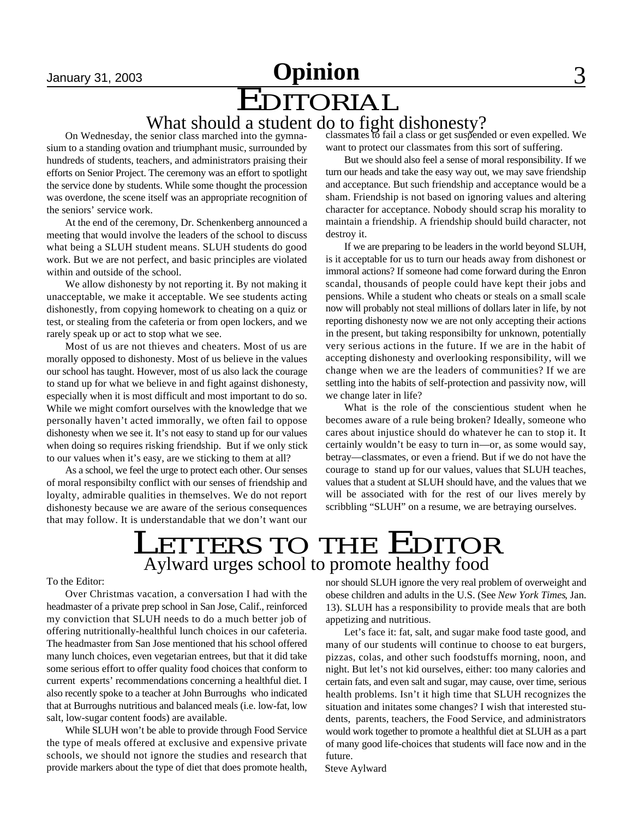# January 31, 2003 **Committee Committee 3** EDITORIAL

### What should a student do to fight dishonesty?

On Wednesday, the senior class marched into the gymnasium to a standing ovation and triumphant music, surrounded by hundreds of students, teachers, and administrators praising their efforts on Senior Project. The ceremony was an effort to spotlight the service done by students. While some thought the procession was overdone, the scene itself was an appropriate recognition of the seniors' service work.

At the end of the ceremony, Dr. Schenkenberg announced a meeting that would involve the leaders of the school to discuss what being a SLUH student means. SLUH students do good work. But we are not perfect, and basic principles are violated within and outside of the school.

We allow dishonesty by not reporting it. By not making it unacceptable, we make it acceptable. We see students acting dishonestly, from copying homework to cheating on a quiz or test, or stealing from the cafeteria or from open lockers, and we rarely speak up or act to stop what we see.

Most of us are not thieves and cheaters. Most of us are morally opposed to dishonesty. Most of us believe in the values our school has taught. However, most of us also lack the courage to stand up for what we believe in and fight against dishonesty, especially when it is most difficult and most important to do so. While we might comfort ourselves with the knowledge that we personally haven't acted immorally, we often fail to oppose dishonesty when we see it. It's not easy to stand up for our values when doing so requires risking friendship. But if we only stick to our values when it's easy, are we sticking to them at all?

As a school, we feel the urge to protect each other. Our senses of moral responsibilty conflict with our senses of friendship and loyalty, admirable qualities in themselves. We do not report dishonesty because we are aware of the serious consequences that may follow. It is understandable that we don't want our classmates to fail a class or get suspended or even expelled. We want to protect our classmates from this sort of suffering.

But we should also feel a sense of moral responsibility. If we turn our heads and take the easy way out, we may save friendship and acceptance. But such friendship and acceptance would be a sham. Friendship is not based on ignoring values and altering character for acceptance. Nobody should scrap his morality to maintain a friendship. A friendship should build character, not destroy it.

If we are preparing to be leaders in the world beyond SLUH, is it acceptable for us to turn our heads away from dishonest or immoral actions? If someone had come forward during the Enron scandal, thousands of people could have kept their jobs and pensions. While a student who cheats or steals on a small scale now will probably not steal millions of dollars later in life, by not reporting dishonesty now we are not only accepting their actions in the present, but taking responsibilty for unknown, potentially very serious actions in the future. If we are in the habit of accepting dishonesty and overlooking responsibility, will we change when we are the leaders of communities? If we are settling into the habits of self-protection and passivity now, will we change later in life?

What is the role of the conscientious student when he becomes aware of a rule being broken? Ideally, someone who cares about injustice should do whatever he can to stop it. It certainly wouldn't be easy to turn in—or, as some would say, betray—classmates, or even a friend. But if we do not have the courage to stand up for our values, values that SLUH teaches, values that a student at SLUH should have, and the values that we will be associated with for the rest of our lives merely by scribbling "SLUH" on a resume, we are betraying ourselves.

# Aylward urges school to promote healthy food LETTERS TO THE EDITOR

To the Editor:

Over Christmas vacation, a conversation I had with the headmaster of a private prep school in San Jose, Calif., reinforced my conviction that SLUH needs to do a much better job of offering nutritionally-healthful lunch choices in our cafeteria. The headmaster from San Jose mentioned that his school offered many lunch choices, even vegetarian entrees, but that it did take some serious effort to offer quality food choices that conform to current experts' recommendations concerning a healthful diet. I also recently spoke to a teacher at John Burroughs who indicated that at Burroughs nutritious and balanced meals (i.e. low-fat, low salt, low-sugar content foods) are available.

While SLUH won't be able to provide through Food Service the type of meals offered at exclusive and expensive private schools, we should not ignore the studies and research that provide markers about the type of diet that does promote health, nor should SLUH ignore the very real problem of overweight and obese children and adults in the U.S. (See *New York Times*, Jan. 13). SLUH has a responsibility to provide meals that are both appetizing and nutritious.

Let's face it: fat, salt, and sugar make food taste good, and many of our students will continue to choose to eat burgers, pizzas, colas, and other such foodstuffs morning, noon, and night. But let's not kid ourselves, either: too many calories and certain fats, and even salt and sugar, may cause, over time, serious health problems. Isn't it high time that SLUH recognizes the situation and initates some changes? I wish that interested students, parents, teachers, the Food Service, and administrators would work together to promote a healthful diet at SLUH as a part of many good life-choices that students will face now and in the future.

Steve Aylward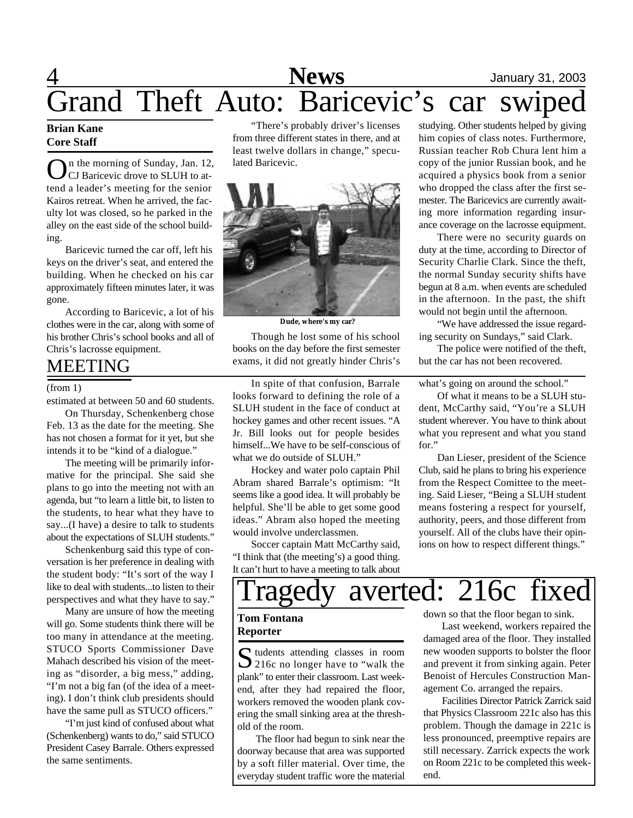# 4 **News** January 31, 2003 Grand Theft Auto: Baricevic's car swiped

#### **Brian Kane Core Staff**

**O**n the morning of Sunday, Jan. 12<br>CJ Baricevic drove to SLUH to attend a leader's meeting for the senior n the morning of Sunday, Jan. 12, CJ Baricevic drove to SLUH to at-Kairos retreat. When he arrived, the faculty lot was closed, so he parked in the alley on the east side of the school building.

Baricevic turned the car off, left his keys on the driver's seat, and entered the building. When he checked on his car approximately fifteen minutes later, it was gone.

According to Baricevic, a lot of his clothes were in the car, along with some of his brother Chris's school books and all of Chris's lacrosse equipment.

## MEETING

estimated at between 50 and 60 students.

On Thursday, Schenkenberg chose Feb. 13 as the date for the meeting. She has not chosen a format for it yet, but she intends it to be "kind of a dialogue."

The meeting will be primarily informative for the principal. She said she plans to go into the meeting not with an agenda, but "to learn a little bit, to listen to the students, to hear what they have to say...(I have) a desire to talk to students about the expectations of SLUH students."

Schenkenburg said this type of conversation is her preference in dealing with the student body: "It's sort of the way I like to deal with students...to listen to their perspectives and what they have to say."

Many are unsure of how the meeting will go. Some students think there will be too many in attendance at the meeting. STUCO Sports Commissioner Dave Mahach described his vision of the meeting as "disorder, a big mess," adding, "I'm not a big fan (of the idea of a meeting). I don't think club presidents should have the same pull as STUCO officers."

"I'm just kind of confused about what (Schenkenberg) wants to do," said STUCO President Casey Barrale. Others expressed the same sentiments.

"There's probably driver's licenses from three different states in there, and at least twelve dollars in change," speculated Baricevic.



**Dude, where's my car?**

Though he lost some of his school books on the day before the first semester exams, it did not greatly hinder Chris's

(from 1) In spite of that confusion, Barrale looks forward to defining the role of a SLUH student in the face of conduct at hockey games and other recent issues. "A Jr. Bill looks out for people besides himself...We have to be self-conscious of what we do outside of SLUH."

> Hockey and water polo captain Phil Abram shared Barrale's optimism: "It seems like a good idea. It will probably be helpful. She'll be able to get some good ideas." Abram also hoped the meeting would involve underclassmen.

> Soccer captain Matt McCarthy said, "I think that (the meeting's) a good thing. It can't hurt to have a meeting to talk about

studying. Other students helped by giving him copies of class notes. Furthermore, Russian teacher Rob Chura lent him a copy of the junior Russian book, and he acquired a physics book from a senior who dropped the class after the first semester. The Baricevics are currently awaiting more information regarding insurance coverage on the lacrosse equipment.

There were no security guards on duty at the time, according to Director of Security Charlie Clark. Since the theft, the normal Sunday security shifts have begun at 8 a.m. when events are scheduled in the afternoon. In the past, the shift would not begin until the afternoon.

"We have addressed the issue regarding security on Sundays," said Clark.

The police were notified of the theft, but the car has not been recovered.

what's going on around the school."

Of what it means to be a SLUH student, McCarthy said, "You're a SLUH student wherever. You have to think about what you represent and what you stand for."

Dan Lieser, president of the Science Club, said he plans to bring his experience from the Respect Comittee to the meeting. Said Lieser, "Being a SLUH student means fostering a respect for yourself, authority, peers, and those different from yourself. All of the clubs have their opinions on how to respect different things."

# ragedy averted: 216c fixed

#### **Tom Fontana Reporter**

Sudents attending classes in room 216c no longer have to "walk the plank" to enter their classroom. Last weekend, after they had repaired the floor, workers removed the wooden plank covering the small sinking area at the threshold of the room.

The floor had begun to sink near the doorway because that area was supported by a soft filler material. Over time, the everyday student traffic wore the material

down so that the floor began to sink.

Last weekend, workers repaired the damaged area of the floor. They installed new wooden supports to bolster the floor and prevent it from sinking again. Peter Benoist of Hercules Construction Management Co. arranged the repairs.

Facilities Director Patrick Zarrick said that Physics Classroom 221c also has this problem. Though the damage in 221c is less pronounced, preemptive repairs are still necessary. Zarrick expects the work on Room 221c to be completed this weekend.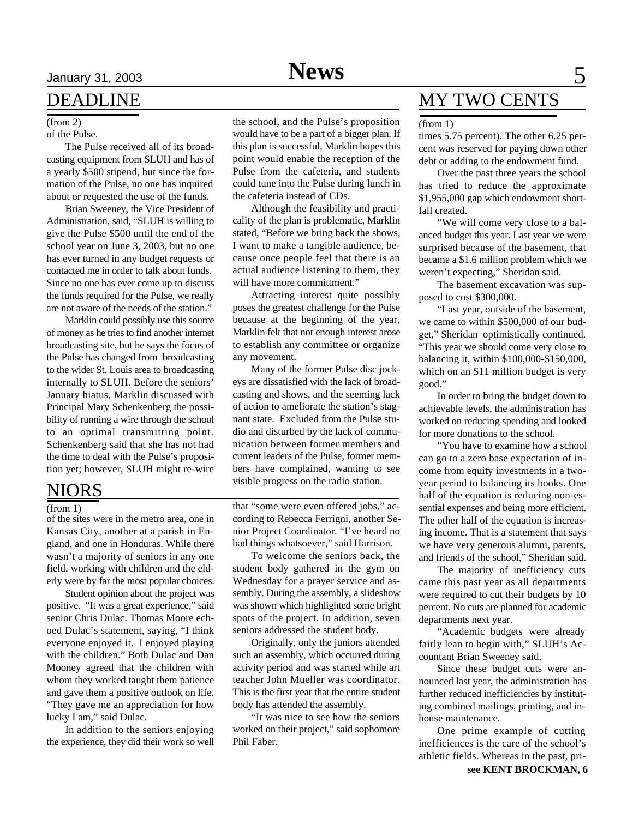# January 31, 2003 **News** 5

### DEADLINE

#### (from 2)

of the Pulse.

The Pulse received all of its broadcasting equipment from SLUH and has of a yearly \$500 stipend, but since the formation of the Pulse, no one has inquired about or requested the use of the funds.

Brian Sweeney, the Vice President of Administration, said, "SLUH is willing to give the Pulse \$500 until the end of the school year on June 3, 2003, but no one has ever turned in any budget requests or contacted me in order to talk about funds. Since no one has ever come up to discuss the funds required for the Pulse, we really are not aware of the needs of the station."

Marklin could possibly use this source of money as he tries to find another internet broadcasting site, but he says the focus of the Pulse has changed from broadcasting to the wider St. Louis area to broadcasting internally to SLUH. Before the seniors' January hiatus, Marklin discussed with Principal Mary Schenkenberg the possibility of running a wire through the school to an optimal transmitting point. Schenkenberg said that she has not had the time to deal with the Pulse's proposition yet; however, SLUH might re-wire

### NIORS

(from 1)

of the sites were in the metro area, one in Kansas City, another at a parish in England, and one in Honduras. While there wasn't a majority of seniors in any one field, working with children and the elderly were by far the most popular choices.

Student opinion about the project was positive. "It was a great experience," said senior Chris Dulac. Thomas Moore echoed Dulac's statement, saying, "I think everyone enjoyed it. I enjoyed playing with the children." Both Dulac and Dan Mooney agreed that the children with whom they worked taught them patience and gave them a positive outlook on life. "They gave me an appreciation for how lucky I am," said Dulac.

In addition to the seniors enjoying the experience, they did their work so well the school, and the Pulse's proposition would have to be a part of a bigger plan. If this plan is successful, Marklin hopes this point would enable the reception of the Pulse from the cafeteria, and students could tune into the Pulse during lunch in the cafeteria instead of CDs.

Although the feasibility and practicality of the plan is problematic, Marklin stated, "Before we bring back the shows, I want to make a tangible audience, because once people feel that there is an actual audience listening to them, they will have more committment."

Attracting interest quite possibly poses the greatest challenge for the Pulse because at the beginning of the year, Marklin felt that not enough interest arose to establish any committee or organize any movement.

Many of the former Pulse disc jockeys are dissatisfied with the lack of broadcasting and shows, and the seeming lack of action to ameliorate the station's stagnant state. Excluded from the Pulse studio and disturbed by the lack of communication between former members and current leaders of the Pulse, former members have complained, wanting to see visible progress on the radio station.

that "some were even offered jobs," according to Rebecca Ferrigni, another Senior Project Coordinator. "I've heard no bad things whatsoever," said Harrison.

To welcome the seniors back, the student body gathered in the gym on Wednesday for a prayer service and assembly. During the assembly, a slideshow was shown which highlighted some bright spots of the project. In addition, seven seniors addressed the student body.

Originally, only the juniors attended such an assembly, which occurred during activity period and was started while art teacher John Mueller was coordinator. This is the first year that the entire student body has attended the assembly.

"It was nice to see how the seniors worked on their project," said sophomore Phil Faber.

## MY TWO CENTS

#### (from 1)

times 5.75 percent). The other 6.25 percent was reserved for paying down other debt or adding to the endowment fund.

Over the past three years the school has tried to reduce the approximate \$1,955,000 gap which endowment shortfall created.

"We will come very close to a balanced budget this year. Last year we were surprised because of the basement, that became a \$1.6 million problem which we weren't expecting," Sheridan said.

The basement excavation was supposed to cost \$300,000.

"Last year, outside of the basement, we came to within \$500,000 of our budget," Sheridan optimistically continued. "This year we should come very close to balancing it, within \$100,000-\$150,000, which on an \$11 million budget is very good."

In order to bring the budget down to achievable levels, the administration has worked on reducing spending and looked for more donations to the school.

"You have to examine how a school can go to a zero base expectation of income from equity investments in a twoyear period to balancing its books. One half of the equation is reducing non-essential expenses and being more efficient. The other half of the equation is increasing income. That is a statement that says we have very generous alumni, parents, and friends of the school," Sheridan said.

The majority of inefficiency cuts came this past year as all departments were required to cut their budgets by 10 percent. No cuts are planned for academic departments next year.

"Academic budgets were already fairly lean to begin with," SLUH's Accountant Brian Sweeney said.

Since these budget cuts were announced last year, the administration has further reduced inefficiencies by instituting combined mailings, printing, and inhouse maintenance.

One prime example of cutting inefficiences is the care of the school's athletic fields. Whereas in the past, pri-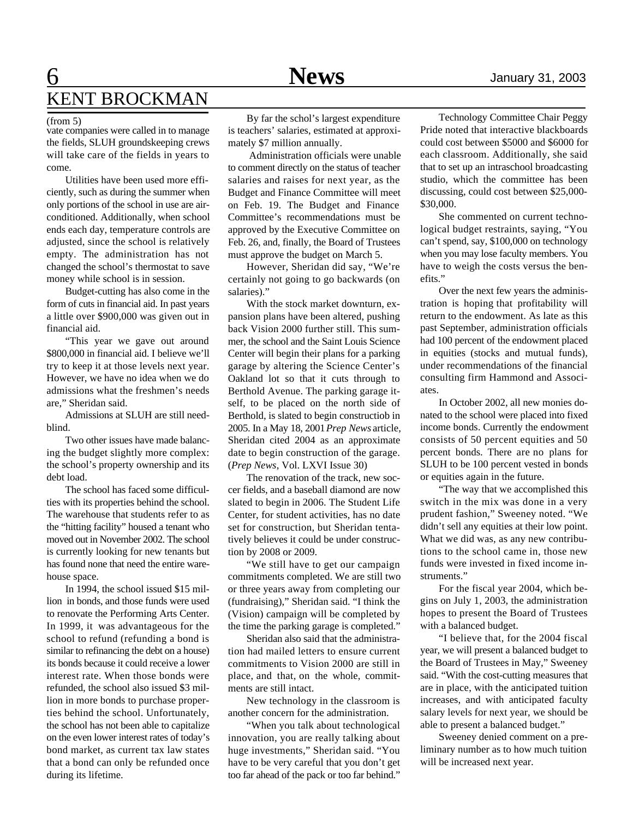## 6 **News** January 31, 2003 KENT BROCKMAN

#### (from 5)

vate companies were called in to manage the fields, SLUH groundskeeping crews will take care of the fields in years to come.

Utilities have been used more efficiently, such as during the summer when only portions of the school in use are airconditioned. Additionally, when school ends each day, temperature controls are adjusted, since the school is relatively empty. The administration has not changed the school's thermostat to save money while school is in session.

Budget-cutting has also come in the form of cuts in financial aid. In past years a little over \$900,000 was given out in financial aid.

"This year we gave out around \$800,000 in financial aid. I believe we'll try to keep it at those levels next year. However, we have no idea when we do admissions what the freshmen's needs are," Sheridan said.

Admissions at SLUH are still needblind.

Two other issues have made balancing the budget slightly more complex: the school's property ownership and its debt load.

The school has faced some difficulties with its properties behind the school. The warehouse that students refer to as the "hitting facility" housed a tenant who moved out in November 2002. The school is currently looking for new tenants but has found none that need the entire warehouse space.

In 1994, the school issued \$15 million in bonds, and those funds were used to renovate the Performing Arts Center. In 1999, it was advantageous for the school to refund (refunding a bond is similar to refinancing the debt on a house) its bonds because it could receive a lower interest rate. When those bonds were refunded, the school also issued \$3 million in more bonds to purchase properties behind the school. Unfortunately, the school has not been able to capitalize on the even lower interest rates of today's bond market, as current tax law states that a bond can only be refunded once during its lifetime.

By far the schol's largest expenditure is teachers' salaries, estimated at approximately \$7 million annually.

 Administration officials were unable to comment directly on the status of teacher salaries and raises for next year, as the Budget and Finance Committee will meet on Feb. 19. The Budget and Finance Committee's recommendations must be approved by the Executive Committee on Feb. 26, and, finally, the Board of Trustees must approve the budget on March 5.

However, Sheridan did say, "We're certainly not going to go backwards (on salaries)."

With the stock market downturn, expansion plans have been altered, pushing back Vision 2000 further still. This summer, the school and the Saint Louis Science Center will begin their plans for a parking garage by altering the Science Center's Oakland lot so that it cuts through to Berthold Avenue. The parking garage itself, to be placed on the north side of Berthold, is slated to begin constructiob in 2005. In a May 18, 2001 *Prep News* article, Sheridan cited 2004 as an approximate date to begin construction of the garage. (*Prep News*, Vol. LXVI Issue 30)

The renovation of the track, new soccer fields, and a baseball diamond are now slated to begin in 2006. The Student Life Center, for student activities, has no date set for construction, but Sheridan tentatively believes it could be under construction by 2008 or 2009.

"We still have to get our campaign commitments completed. We are still two or three years away from completing our (fundraising)," Sheridan said. "I think the (Vision) campaign will be completed by the time the parking garage is completed."

Sheridan also said that the administration had mailed letters to ensure current commitments to Vision 2000 are still in place, and that, on the whole, commitments are still intact.

New technology in the classroom is another concern for the administration.

"When you talk about technological innovation, you are really talking about huge investments," Sheridan said. "You have to be very careful that you don't get too far ahead of the pack or too far behind."

Technology Committee Chair Peggy Pride noted that interactive blackboards could cost between \$5000 and \$6000 for each classroom. Additionally, she said that to set up an intraschool broadcasting studio, which the committee has been discussing, could cost between \$25,000- \$30,000.

She commented on current technological budget restraints, saying, "You can't spend, say, \$100,000 on technology when you may lose faculty members. You have to weigh the costs versus the benefits."

Over the next few years the administration is hoping that profitability will return to the endowment. As late as this past September, administration officials had 100 percent of the endowment placed in equities (stocks and mutual funds), under recommendations of the financial consulting firm Hammond and Associates.

In October 2002, all new monies donated to the school were placed into fixed income bonds. Currently the endowment consists of 50 percent equities and 50 percent bonds. There are no plans for SLUH to be 100 percent vested in bonds or equities again in the future.

"The way that we accomplished this switch in the mix was done in a very prudent fashion," Sweeney noted. "We didn't sell any equities at their low point. What we did was, as any new contributions to the school came in, those new funds were invested in fixed income instruments."

For the fiscal year 2004, which begins on July 1, 2003, the administration hopes to present the Board of Trustees with a balanced budget.

"I believe that, for the 2004 fiscal year, we will present a balanced budget to the Board of Trustees in May," Sweeney said. "With the cost-cutting measures that are in place, with the anticipated tuition increases, and with anticipated faculty salary levels for next year, we should be able to present a balanced budget."

Sweeney denied comment on a preliminary number as to how much tuition will be increased next year.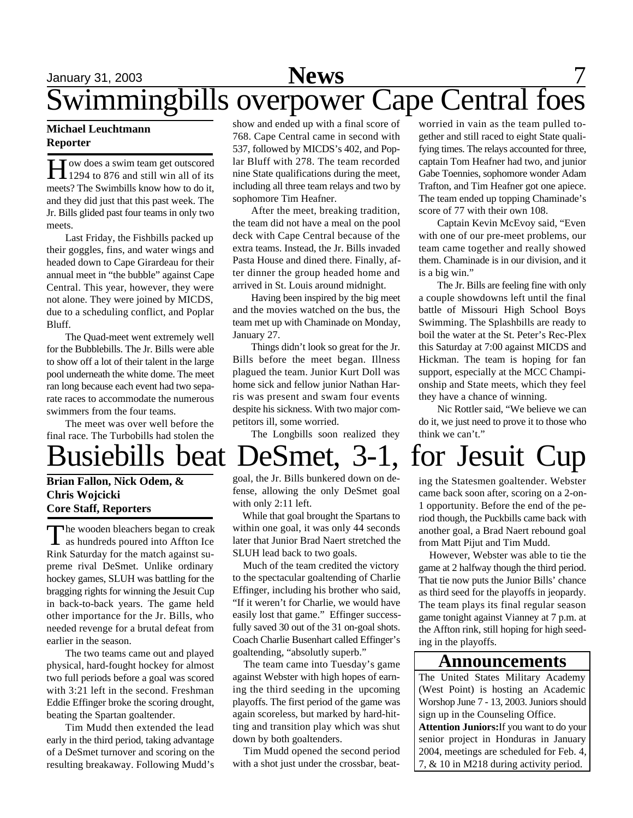# January 31, 2003 **News** 7 Swimmingbills overpower Cape Central foes

#### **Michael Leuchtmann Reporter**

H ow does a swim team get outscored<br>1294 to 876 and still win all of its ow does a swim team get outscored meets? The Swimbills know how to do it, and they did just that this past week. The Jr. Bills glided past four teams in only two meets.

Last Friday, the Fishbills packed up their goggles, fins, and water wings and headed down to Cape Girardeau for their annual meet in "the bubble" against Cape Central. This year, however, they were not alone. They were joined by MICDS, due to a scheduling conflict, and Poplar Bluff.

The Quad-meet went extremely well for the Bubblebills. The Jr. Bills were able to show off a lot of their talent in the large pool underneath the white dome. The meet ran long because each event had two separate races to accommodate the numerous swimmers from the four teams.

The meet was over well before the final race. The Turbobills had stolen the

### **Brian Fallon, Nick Odem, & Chris Wojcicki Core Staff, Reporters**

The wooden bleachers began to creak<br>as hundreds poured into Affton Ice The wooden bleachers began to creak Rink Saturday for the match against supreme rival DeSmet. Unlike ordinary hockey games, SLUH was battling for the bragging rights for winning the Jesuit Cup in back-to-back years. The game held other importance for the Jr. Bills, who needed revenge for a brutal defeat from earlier in the season.

The two teams came out and played physical, hard-fought hockey for almost two full periods before a goal was scored with 3:21 left in the second. Freshman Eddie Effinger broke the scoring drought, beating the Spartan goaltender.

Tim Mudd then extended the lead early in the third period, taking advantage of a DeSmet turnover and scoring on the resulting breakaway. Following Mudd's

show and ended up with a final score of 768. Cape Central came in second with 537, followed by MICDS's 402, and Poplar Bluff with 278. The team recorded nine State qualifications during the meet, including all three team relays and two by sophomore Tim Heafner.

After the meet, breaking tradition, the team did not have a meal on the pool deck with Cape Central because of the extra teams. Instead, the Jr. Bills invaded Pasta House and dined there. Finally, after dinner the group headed home and arrived in St. Louis around midnight.

Having been inspired by the big meet and the movies watched on the bus, the team met up with Chaminade on Monday, January 27.

Things didn't look so great for the Jr. Bills before the meet began. Illness plagued the team. Junior Kurt Doll was home sick and fellow junior Nathan Harris was present and swam four events despite his sickness. With two major competitors ill, some worried.

The Longbills soon realized they

worried in vain as the team pulled together and still raced to eight State qualifying times. The relays accounted for three, captain Tom Heafner had two, and junior Gabe Toennies, sophomore wonder Adam Trafton, and Tim Heafner got one apiece. The team ended up topping Chaminade's score of 77 with their own 108.

Captain Kevin McEvoy said, "Even with one of our pre-meet problems, our team came together and really showed them. Chaminade is in our division, and it is a big win."

The Jr. Bills are feeling fine with only a couple showdowns left until the final battle of Missouri High School Boys Swimming. The Splashbills are ready to boil the water at the St. Peter's Rec-Plex this Saturday at 7:00 against MICDS and Hickman. The team is hoping for fan support, especially at the MCC Championship and State meets, which they feel they have a chance of winning.

Nic Rottler said, "We believe we can do it, we just need to prove it to those who think we can't."

# Busiebills beat DeSmet, 3-1, for Jesuit Cup

goal, the Jr. Bills bunkered down on defense, allowing the only DeSmet goal with only 2:11 left.

 While that goal brought the Spartans to within one goal, it was only 44 seconds later that Junior Brad Naert stretched the SLUH lead back to two goals.

 Much of the team credited the victory to the spectacular goaltending of Charlie Effinger, including his brother who said, "If it weren't for Charlie, we would have easily lost that game." Effinger successfully saved 30 out of the 31 on-goal shots. Coach Charlie Busenhart called Effinger's goaltending, "absolutly superb."

 The team came into Tuesday's game against Webster with high hopes of earning the third seeding in the upcoming playoffs. The first period of the game was again scoreless, but marked by hard-hitting and transition play which was shut down by both goaltenders.

 Tim Mudd opened the second period with a shot just under the crossbar, beating the Statesmen goaltender. Webster came back soon after, scoring on a 2-on-1 opportunity. Before the end of the period though, the Puckbills came back with another goal, a Brad Naert rebound goal from Matt Pijut and Tim Mudd.

 However, Webster was able to tie the game at 2 halfway though the third period. That tie now puts the Junior Bills' chance as third seed for the playoffs in jeopardy. The team plays its final regular season game tonight against Vianney at 7 p.m. at the Affton rink, still hoping for high seeding in the playoffs.

### **Announcements**

The United States Military Academy (West Point) is hosting an Academic Worshop June 7 - 13, 2003. Juniors should sign up in the Counseling Office. **Attention Juniors:**If you want to do your senior project in Honduras in January 2004, meetings are scheduled for Feb. 4, 7, & 10 in M218 during activity period.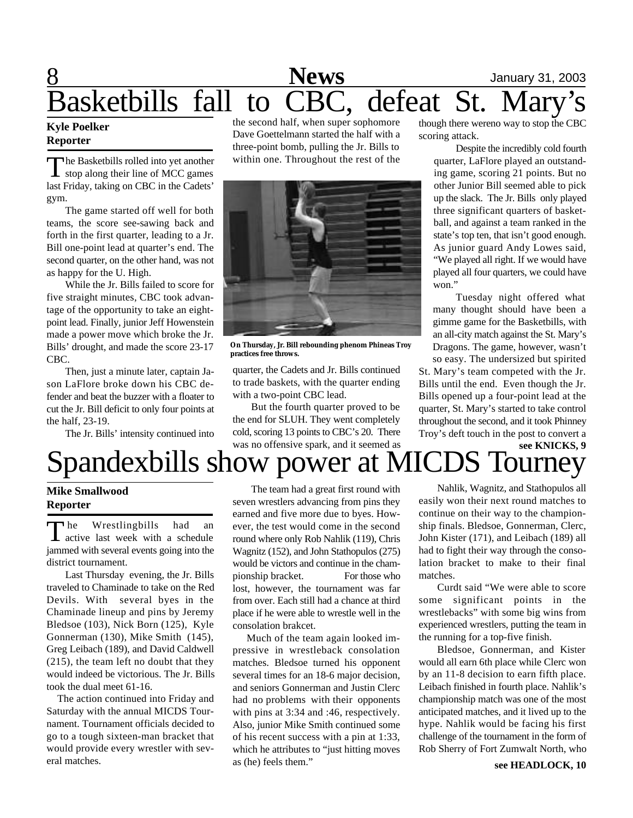# 8 **News** January 31, 2003 Basketbills fall to CBC, defeat St.

#### **Kyle Poelker Reporter**

T he Basketbills rolled into yet another stop along their line of MCC games last Friday, taking on CBC in the Cadets' gym.

The game started off well for both teams, the score see-sawing back and forth in the first quarter, leading to a Jr. Bill one-point lead at quarter's end. The second quarter, on the other hand, was not as happy for the U. High.

While the Jr. Bills failed to score for five straight minutes, CBC took advantage of the opportunity to take an eightpoint lead. Finally, junior Jeff Howenstein made a power move which broke the Jr. Bills' drought, and made the score 23-17 CBC.

Then, just a minute later, captain Jason LaFlore broke down his CBC defender and beat the buzzer with a floater to cut the Jr. Bill deficit to only four points at the half, 23-19.

The Jr. Bills' intensity continued into

the second half, when super sophomore Dave Goettelmann started the half with a three-point bomb, pulling the Jr. Bills to within one. Throughout the rest of the



**On Thursday, Jr. Bill rebounding phenom Phineas Troy practices free throws.**

quarter, the Cadets and Jr. Bills continued to trade baskets, with the quarter ending with a two-point CBC lead.

But the fourth quarter proved to be the end for SLUH. They went completely cold, scoring 13 points to CBC's 20. There was no offensive spark, and it seemed as

though there wereno way to stop the CBC scoring attack.

Despite the incredibly cold fourth quarter, LaFlore played an outstanding game, scoring 21 points. But no other Junior Bill seemed able to pick up the slack. The Jr. Bills only played three significant quarters of basketball, and against a team ranked in the state's top ten, that isn't good enough. As junior guard Andy Lowes said, "We played all right. If we would have played all four quarters, we could have won."

Tuesday night offered what many thought should have been a gimme game for the Basketbills, with an all-city match against the St. Mary's Dragons. The game, however, wasn't so easy. The undersized but spirited

St. Mary's team competed with the Jr. Bills until the end. Even though the Jr. Bills opened up a four-point lead at the quarter, St. Mary's started to take control throughout the second, and it took Phinney Troy's deft touch in the post to convert a

### **see KNICKS, 9** Spandexbills show power a

### **Mike Smallwood Reporter**

The Wrestlingbills had an achedule last week with a schedule he Wrestlingbills had an jammed with several events going into the district tournament.

Last Thursday evening, the Jr. Bills traveled to Chaminade to take on the Red Devils. With several byes in the Chaminade lineup and pins by Jeremy Bledsoe (103), Nick Born (125), Kyle Gonnerman (130), Mike Smith (145), Greg Leibach (189), and David Caldwell (215), the team left no doubt that they would indeed be victorious. The Jr. Bills took the dual meet 61-16.

 The action continued into Friday and Saturday with the annual MICDS Tournament. Tournament officials decided to go to a tough sixteen-man bracket that would provide every wrestler with several matches.

The team had a great first round with seven wrestlers advancing from pins they earned and five more due to byes. However, the test would come in the second round where only Rob Nahlik (119), Chris Wagnitz (152), and John Stathopulos (275) would be victors and continue in the championship bracket. For those who lost, however, the tournament was far from over. Each still had a chance at third place if he were able to wrestle well in the consolation brakcet.

 Much of the team again looked impressive in wrestleback consolation matches. Bledsoe turned his opponent several times for an 18-6 major decision, and seniors Gonnerman and Justin Clerc had no problems with their opponents with pins at 3:34 and :46, respectively. Also, junior Mike Smith continued some of his recent success with a pin at 1:33, which he attributes to "just hitting moves as (he) feels them."

Nahlik, Wagnitz, and Stathopulos all easily won their next round matches to continue on their way to the championship finals. Bledsoe, Gonnerman, Clerc, John Kister (171), and Leibach (189) all had to fight their way through the consolation bracket to make to their final matches.

Curdt said "We were able to score some significant points in the wrestlebacks" with some big wins from experienced wrestlers, putting the team in the running for a top-five finish.

Bledsoe, Gonnerman, and Kister would all earn 6th place while Clerc won by an 11-8 decision to earn fifth place. Leibach finished in fourth place. Nahlik's championship match was one of the most anticipated matches, and it lived up to the hype. Nahlik would be facing his first challenge of the tournament in the form of Rob Sherry of Fort Zumwalt North, who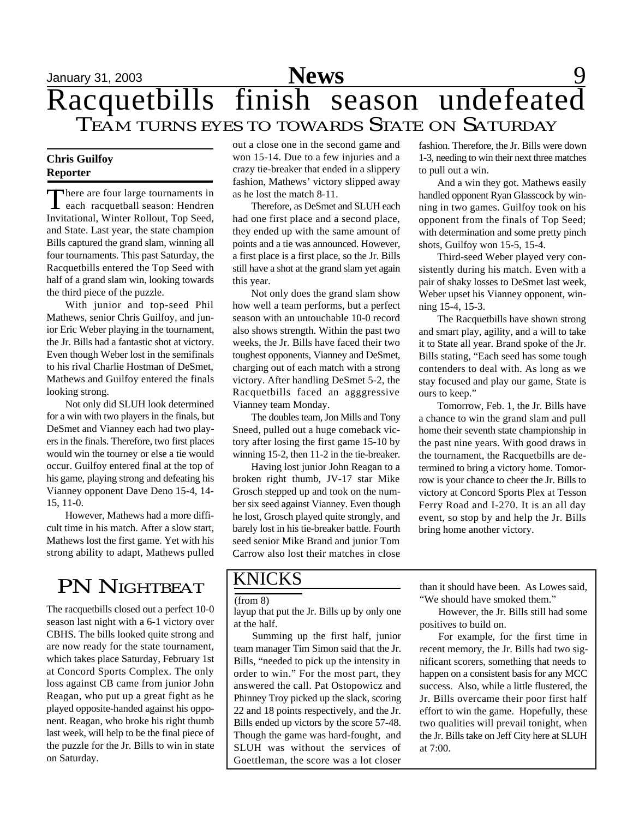# January 31, 2003 **News** 9 Racquetbills finish season undefeated Racquetbills finish season undefeate

### **Chris Guilfoy Reporter**

There are four large tournaments in<br>
each racquetball season: Hendren each racquetball season: Hendren Invitational, Winter Rollout, Top Seed, and State. Last year, the state champion Bills captured the grand slam, winning all four tournaments. This past Saturday, the Racquetbills entered the Top Seed with half of a grand slam win, looking towards the third piece of the puzzle.

With junior and top-seed Phil Mathews, senior Chris Guilfoy, and junior Eric Weber playing in the tournament, the Jr. Bills had a fantastic shot at victory. Even though Weber lost in the semifinals to his rival Charlie Hostman of DeSmet, Mathews and Guilfoy entered the finals looking strong.

Not only did SLUH look determined for a win with two players in the finals, but DeSmet and Vianney each had two players in the finals. Therefore, two first places would win the tourney or else a tie would occur. Guilfoy entered final at the top of his game, playing strong and defeating his Vianney opponent Dave Deno 15-4, 14- 15, 11-0.

However, Mathews had a more difficult time in his match. After a slow start, Mathews lost the first game. Yet with his strong ability to adapt, Mathews pulled

## PN NIGHTBEAT

The racquetbills closed out a perfect 10-0 season last night with a 6-1 victory over CBHS. The bills looked quite strong and are now ready for the state tournament, which takes place Saturday, February 1st at Concord Sports Complex. The only loss against CB came from junior John Reagan, who put up a great fight as he played opposite-handed against his opponent. Reagan, who broke his right thumb last week, will help to be the final piece of the puzzle for the Jr. Bills to win in state on Saturday.

out a close one in the second game and won 15-14. Due to a few injuries and a crazy tie-breaker that ended in a slippery fashion, Mathews' victory slipped away as he lost the match 8-11.

Therefore, as DeSmet and SLUH each had one first place and a second place, they ended up with the same amount of points and a tie was announced. However, a first place is a first place, so the Jr. Bills still have a shot at the grand slam yet again this year.

Not only does the grand slam show how well a team performs, but a perfect season with an untouchable 10-0 record also shows strength. Within the past two weeks, the Jr. Bills have faced their two toughest opponents, Vianney and DeSmet, charging out of each match with a strong victory. After handling DeSmet 5-2, the Racquetbills faced an agggressive Vianney team Monday.

The doubles team, Jon Mills and Tony Sneed, pulled out a huge comeback victory after losing the first game 15-10 by winning 15-2, then 11-2 in the tie-breaker.

Having lost junior John Reagan to a broken right thumb, JV-17 star Mike Grosch stepped up and took on the number six seed against Vianney. Even though he lost, Grosch played quite strongly, and barely lost in his tie-breaker battle. Fourth seed senior Mike Brand and junior Tom Carrow also lost their matches in close

### KNICKS

(from 8)

layup that put the Jr. Bills up by only one at the half.

Summing up the first half, junior team manager Tim Simon said that the Jr. Bills, "needed to pick up the intensity in order to win." For the most part, they answered the call. Pat Ostopowicz and Phinney Troy picked up the slack, scoring 22 and 18 points respectively, and the Jr. Bills ended up victors by the score 57-48. Though the game was hard-fought, and SLUH was without the services of Goettleman, the score was a lot closer

fashion. Therefore, the Jr. Bills were down 1-3, needing to win their next three matches to pull out a win.

And a win they got. Mathews easily handled opponent Ryan Glasscock by winning in two games. Guilfoy took on his opponent from the finals of Top Seed; with determination and some pretty pinch shots, Guilfoy won 15-5, 15-4.

Third-seed Weber played very consistently during his match. Even with a pair of shaky losses to DeSmet last week, Weber upset his Vianney opponent, winning 15-4, 15-3.

The Racquetbills have shown strong and smart play, agility, and a will to take it to State all year. Brand spoke of the Jr. Bills stating, "Each seed has some tough contenders to deal with. As long as we stay focused and play our game, State is ours to keep."

Tomorrow, Feb. 1, the Jr. Bills have a chance to win the grand slam and pull home their seventh state championship in the past nine years. With good draws in the tournament, the Racquetbills are determined to bring a victory home. Tomorrow is your chance to cheer the Jr. Bills to victory at Concord Sports Plex at Tesson Ferry Road and I-270. It is an all day event, so stop by and help the Jr. Bills bring home another victory.

than it should have been. As Lowes said, "We should have smoked them."

However, the Jr. Bills still had some positives to build on.

For example, for the first time in recent memory, the Jr. Bills had two significant scorers, something that needs to happen on a consistent basis for any MCC success. Also, while a little flustered, the Jr. Bills overcame their poor first half effort to win the game. Hopefully, these two qualities will prevail tonight, when the Jr. Bills take on Jeff City here at SLUH at 7:00.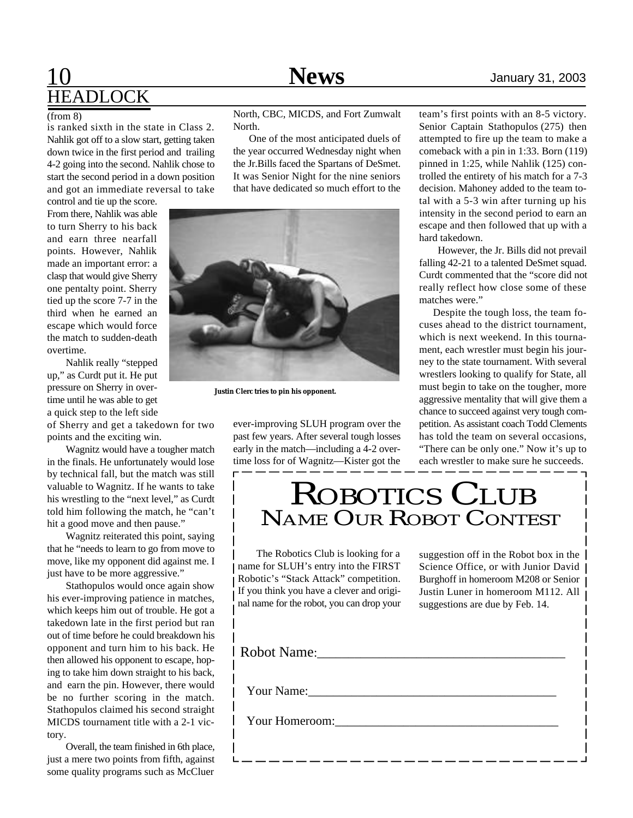# 10 **News** January 31, 2003 **HEADLOCK**

#### $\sqrt{3}$  (from 8)

is ranked sixth in the state in Class 2. Nahlik got off to a slow start, getting taken down twice in the first period and trailing 4-2 going into the second. Nahlik chose to start the second period in a down position and got an immediate reversal to take

control and tie up the score. From there, Nahlik was able to turn Sherry to his back and earn three nearfall points. However, Nahlik made an important error: a clasp that would give Sherry one pentalty point. Sherry tied up the score 7-7 in the third when he earned an escape which would force the match to sudden-death overtime.

Nahlik really "stepped up," as Curdt put it. He put pressure on Sherry in overtime until he was able to get a quick step to the left side

of Sherry and get a takedown for two points and the exciting win.

Wagnitz would have a tougher match in the finals. He unfortunately would lose by technical fall, but the match was still valuable to Wagnitz. If he wants to take his wrestling to the "next level," as Curdt told him following the match, he "can't hit a good move and then pause."

Wagnitz reiterated this point, saying that he "needs to learn to go from move to move, like my opponent did against me. I just have to be more aggressive."

Stathopulos would once again show his ever-improving patience in matches, which keeps him out of trouble. He got a takedown late in the first period but ran out of time before he could breakdown his opponent and turn him to his back. He then allowed his opponent to escape, hoping to take him down straight to his back, and earn the pin. However, there would be no further scoring in the match. Stathopulos claimed his second straight MICDS tournament title with a 2-1 victory.

Overall, the team finished in 6th place, just a mere two points from fifth, against some quality programs such as McCluer

North, CBC, MICDS, and Fort Zumwalt North.

 One of the most anticipated duels of the year occurred Wednesday night when the Jr.Bills faced the Spartans of DeSmet. It was Senior Night for the nine seniors that have dedicated so much effort to the



**Justin Clerc tries to pin his opponent.**

ever-improving SLUH program over the past few years. After several tough losses early in the match—including a 4-2 overtime loss for of Wagnitz—Kister got the

team's first points with an 8-5 victory. Senior Captain Stathopulos (275) then attempted to fire up the team to make a comeback with a pin in 1:33. Born (119) pinned in 1:25, while Nahlik (125) controlled the entirety of his match for a 7-3 decision. Mahoney added to the team total with a 5-3 win after turning up his intensity in the second period to earn an escape and then followed that up with a hard takedown.

However, the Jr. Bills did not prevail falling 42-21 to a talented DeSmet squad. Curdt commented that the "score did not really reflect how close some of these matches were."

 Despite the tough loss, the team focuses ahead to the district tournament, which is next weekend. In this tournament, each wrestler must begin his journey to the state tournament. With several wrestlers looking to qualify for State, all must begin to take on the tougher, more aggressive mentality that will give them a chance to succeed against very tough competition. As assistant coach Todd Clements has told the team on several occasions, "There can be only one." Now it's up to each wrestler to make sure he succeeds.

# ROBOTICS CLUB NAME OUR ROBOT CONTEST

The Robotics Club is looking for a name for SLUH's entry into the FIRST Robotic's "Stack Attack" competition. If you think you have a clever and original name for the robot, you can drop your

suggestion off in the Robot box in the Science Office, or with Junior David | Burghoff in homeroom M208 or Senior Justin Luner in homeroom M112. All suggestions are due by Feb. 14.

Your Name:\_\_\_\_\_\_\_\_\_\_\_\_\_\_\_\_\_\_\_\_\_\_\_\_\_\_\_\_\_\_\_\_\_\_\_\_\_\_\_\_

Your Homeroom:\_\_\_\_\_\_\_\_\_\_\_\_\_\_\_\_\_\_\_\_\_\_\_\_\_\_\_\_\_\_\_\_\_\_\_\_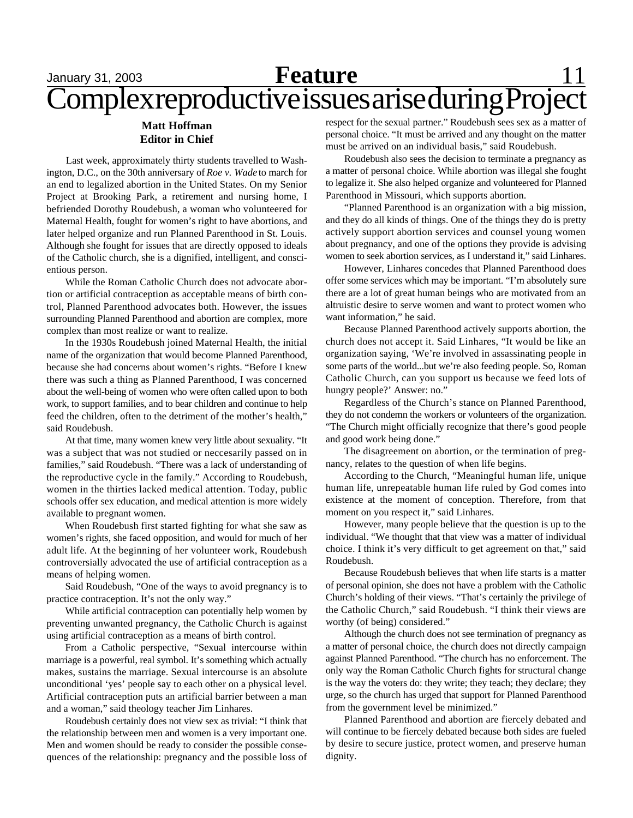### January 31, 2003 **Reature** 11 Complex reproductive issues arise during Project **Feature**

### **Matt Hoffman Editor in Chief**

Last week, approximately thirty students travelled to Washington, D.C., on the 30th anniversary of *Roe v. Wade* to march for an end to legalized abortion in the United States. On my Senior Project at Brooking Park, a retirement and nursing home, I befriended Dorothy Roudebush, a woman who volunteered for Maternal Health, fought for women's right to have abortions, and later helped organize and run Planned Parenthood in St. Louis. Although she fought for issues that are directly opposed to ideals of the Catholic church, she is a dignified, intelligent, and conscientious person.

While the Roman Catholic Church does not advocate abortion or artificial contraception as acceptable means of birth control, Planned Parenthood advocates both. However, the issues surrounding Planned Parenthood and abortion are complex, more complex than most realize or want to realize.

In the 1930s Roudebush joined Maternal Health, the initial name of the organization that would become Planned Parenthood, because she had concerns about women's rights. "Before I knew there was such a thing as Planned Parenthood, I was concerned about the well-being of women who were often called upon to both work, to support families, and to bear children and continue to help feed the children, often to the detriment of the mother's health," said Roudebush.

At that time, many women knew very little about sexuality. "It was a subject that was not studied or neccesarily passed on in families," said Roudebush. "There was a lack of understanding of the reproductive cycle in the family." According to Roudebush, women in the thirties lacked medical attention. Today, public schools offer sex education, and medical attention is more widely available to pregnant women.

When Roudebush first started fighting for what she saw as women's rights, she faced opposition, and would for much of her adult life. At the beginning of her volunteer work, Roudebush controversially advocated the use of artificial contraception as a means of helping women.

Said Roudebush, "One of the ways to avoid pregnancy is to practice contraception. It's not the only way."

While artificial contraception can potentially help women by preventing unwanted pregnancy, the Catholic Church is against using artificial contraception as a means of birth control.

From a Catholic perspective, "Sexual intercourse within marriage is a powerful, real symbol. It's something which actually makes, sustains the marriage. Sexual intercourse is an absolute unconditional 'yes' people say to each other on a physical level. Artificial contraception puts an artificial barrier between a man and a woman," said theology teacher Jim Linhares.

Roudebush certainly does not view sex as trivial: "I think that the relationship between men and women is a very important one. Men and women should be ready to consider the possible consequences of the relationship: pregnancy and the possible loss of

respect for the sexual partner." Roudebush sees sex as a matter of personal choice. "It must be arrived and any thought on the matter must be arrived on an individual basis," said Roudebush.

Roudebush also sees the decision to terminate a pregnancy as a matter of personal choice. While abortion was illegal she fought to legalize it. She also helped organize and volunteered for Planned Parenthood in Missouri, which supports abortion.

"Planned Parenthood is an organization with a big mission, and they do all kinds of things. One of the things they do is pretty actively support abortion services and counsel young women about pregnancy, and one of the options they provide is advising women to seek abortion services, as I understand it," said Linhares.

However, Linhares concedes that Planned Parenthood does offer some services which may be important. "I'm absolutely sure there are a lot of great human beings who are motivated from an altruistic desire to serve women and want to protect women who want information," he said.

Because Planned Parenthood actively supports abortion, the church does not accept it. Said Linhares, "It would be like an organization saying, 'We're involved in assassinating people in some parts of the world...but we're also feeding people. So, Roman Catholic Church, can you support us because we feed lots of hungry people?' Answer: no."

Regardless of the Church's stance on Planned Parenthood, they do not condemn the workers or volunteers of the organization. "The Church might officially recognize that there's good people and good work being done."

The disagreement on abortion, or the termination of pregnancy, relates to the question of when life begins.

According to the Church, "Meaningful human life, unique human life, unrepeatable human life ruled by God comes into existence at the moment of conception. Therefore, from that moment on you respect it," said Linhares.

However, many people believe that the question is up to the individual. "We thought that that view was a matter of individual choice. I think it's very difficult to get agreement on that," said Roudebush.

Because Roudebush believes that when life starts is a matter of personal opinion, she does not have a problem with the Catholic Church's holding of their views. "That's certainly the privilege of the Catholic Church," said Roudebush. "I think their views are worthy (of being) considered."

Although the church does not see termination of pregnancy as a matter of personal choice, the church does not directly campaign against Planned Parenthood. "The church has no enforcement. The only way the Roman Catholic Church fights for structural change is the way the voters do: they write; they teach; they declare; they urge, so the church has urged that support for Planned Parenthood from the government level be minimized."

Planned Parenthood and abortion are fiercely debated and will continue to be fiercely debated because both sides are fueled by desire to secure justice, protect women, and preserve human dignity.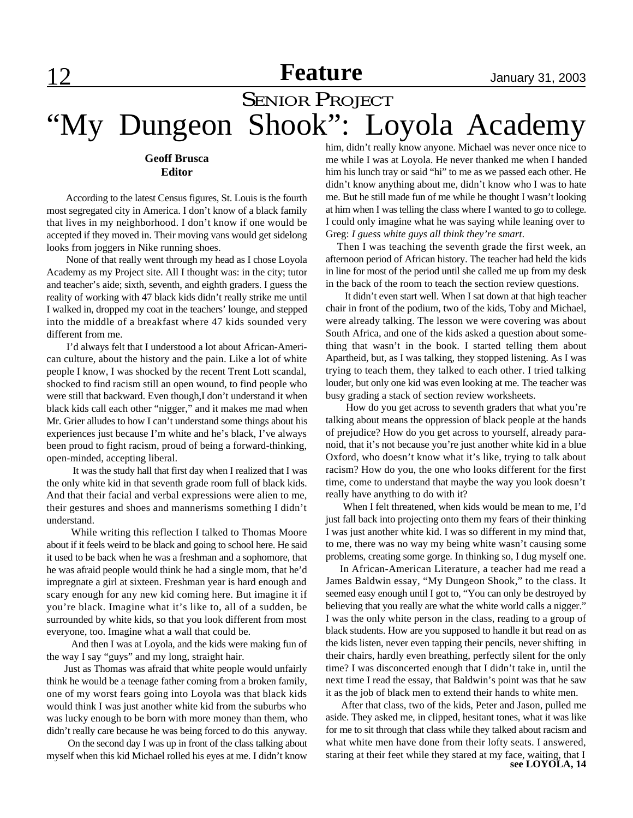## **Feature** January 31, 2003

# **SENIOR PROJECT** "My Dungeon Shook": Loyola Academy

#### **Geoff Brusca Editor**

 According to the latest Census figures, St. Louis is the fourth most segregated city in America. I don't know of a black family that lives in my neighborhood. I don't know if one would be accepted if they moved in. Their moving vans would get sidelong looks from joggers in Nike running shoes.

 None of that really went through my head as I chose Loyola Academy as my Project site. All I thought was: in the city; tutor and teacher's aide; sixth, seventh, and eighth graders. I guess the reality of working with 47 black kids didn't really strike me until I walked in, dropped my coat in the teachers' lounge, and stepped into the middle of a breakfast where 47 kids sounded very different from me.

 I'd always felt that I understood a lot about African-American culture, about the history and the pain. Like a lot of white people I know, I was shocked by the recent Trent Lott scandal, shocked to find racism still an open wound, to find people who were still that backward. Even though,I don't understand it when black kids call each other "nigger," and it makes me mad when Mr. Grier alludes to how I can't understand some things about his experiences just because I'm white and he's black, I've always been proud to fight racism, proud of being a forward-thinking, open-minded, accepting liberal.

 It was the study hall that first day when I realized that I was the only white kid in that seventh grade room full of black kids. And that their facial and verbal expressions were alien to me, their gestures and shoes and mannerisms something I didn't understand.

 While writing this reflection I talked to Thomas Moore about if it feels weird to be black and going to school here. He said it used to be back when he was a freshman and a sophomore, that he was afraid people would think he had a single mom, that he'd impregnate a girl at sixteen. Freshman year is hard enough and scary enough for any new kid coming here. But imagine it if you're black. Imagine what it's like to, all of a sudden, be surrounded by white kids, so that you look different from most everyone, too. Imagine what a wall that could be.

 And then I was at Loyola, and the kids were making fun of the way I say "guys" and my long, straight hair.

 Just as Thomas was afraid that white people would unfairly think he would be a teenage father coming from a broken family, one of my worst fears going into Loyola was that black kids would think I was just another white kid from the suburbs who was lucky enough to be born with more money than them, who didn't really care because he was being forced to do this anyway.

 On the second day I was up in front of the class talking about myself when this kid Michael rolled his eyes at me. I didn't know him, didn't really know anyone. Michael was never once nice to me while I was at Loyola. He never thanked me when I handed him his lunch tray or said "hi" to me as we passed each other. He didn't know anything about me, didn't know who I was to hate me. But he still made fun of me while he thought I wasn't looking at him when I was telling the class where I wanted to go to college. I could only imagine what he was saying while leaning over to Greg: *I guess white guys all think they're smart*.

 Then I was teaching the seventh grade the first week, an afternoon period of African history. The teacher had held the kids in line for most of the period until she called me up from my desk in the back of the room to teach the section review questions.

 It didn't even start well. When I sat down at that high teacher chair in front of the podium, two of the kids, Toby and Michael, were already talking. The lesson we were covering was about South Africa, and one of the kids asked a question about something that wasn't in the book. I started telling them about Apartheid, but, as I was talking, they stopped listening. As I was trying to teach them, they talked to each other. I tried talking louder, but only one kid was even looking at me. The teacher was busy grading a stack of section review worksheets.

 How do you get across to seventh graders that what you're talking about means the oppression of black people at the hands of prejudice? How do you get across to yourself, already paranoid, that it's not because you're just another white kid in a blue Oxford, who doesn't know what it's like, trying to talk about racism? How do you, the one who looks different for the first time, come to understand that maybe the way you look doesn't really have anything to do with it?

 When I felt threatened, when kids would be mean to me, I'd just fall back into projecting onto them my fears of their thinking I was just another white kid. I was so different in my mind that, to me, there was no way my being white wasn't causing some problems, creating some gorge. In thinking so, I dug myself one.

 In African-American Literature, a teacher had me read a James Baldwin essay, "My Dungeon Shook," to the class. It seemed easy enough until I got to, "You can only be destroyed by believing that you really are what the white world calls a nigger." I was the only white person in the class, reading to a group of black students. How are you supposed to handle it but read on as the kids listen, never even tapping their pencils, never shifting in their chairs, hardly even breathing, perfectly silent for the only time? I was disconcerted enough that I didn't take in, until the next time I read the essay, that Baldwin's point was that he saw it as the job of black men to extend their hands to white men.

**see LOYOLA, 14** After that class, two of the kids, Peter and Jason, pulled me aside. They asked me, in clipped, hesitant tones, what it was like for me to sit through that class while they talked about racism and what white men have done from their lofty seats. I answered, staring at their feet while they stared at my face, waiting, that I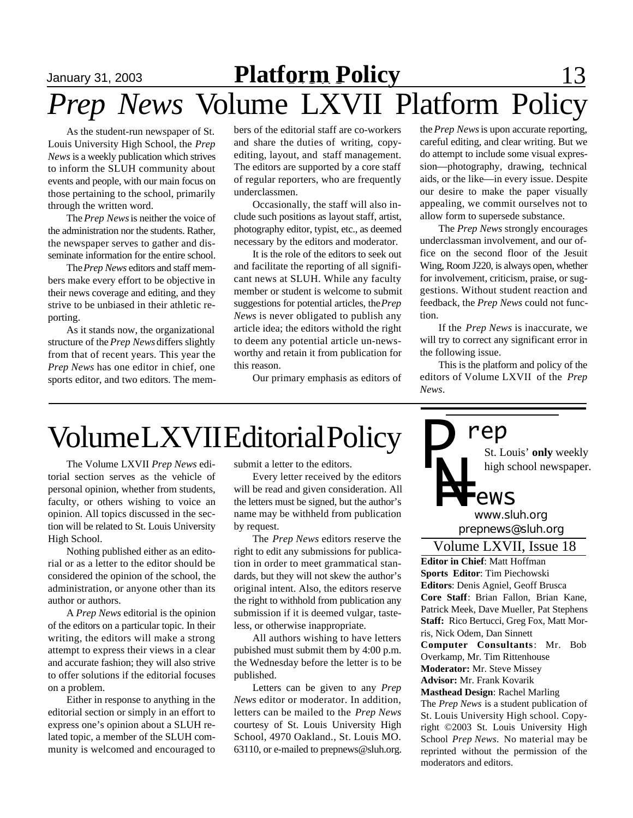# January 31, 2003 **Platform Policy** 13 *Prep News* Volume LXVII Platform Policy

As the student-run newspaper of St. Louis University High School, the *Prep News* is a weekly publication which strives to inform the SLUH community about events and people, with our main focus on those pertaining to the school, primarily through the written word.

The *Prep News* is neither the voice of the administration nor the students. Rather, the newspaper serves to gather and disseminate information for the entire school.

The *Prep News* editors and staff members make every effort to be objective in their news coverage and editing, and they strive to be unbiased in their athletic reporting.

As it stands now, the organizational structure of the *Prep News* differs slightly from that of recent years. This year the *Prep News* has one editor in chief, one sports editor, and two editors. The members of the editorial staff are co-workers and share the duties of writing, copyediting, layout, and staff management. The editors are supported by a core staff of regular reporters, who are frequently underclassmen.

Occasionally, the staff will also include such positions as layout staff, artist, photography editor, typist, etc., as deemed necessary by the editors and moderator.

It is the role of the editors to seek out and facilitate the reporting of all significant news at SLUH. While any faculty member or student is welcome to submit suggestions for potential articles, the *Prep News* is never obligated to publish any article idea; the editors withold the right to deem any potential article un-newsworthy and retain it from publication for this reason.

Our primary emphasis as editors of

the *Prep News* is upon accurate reporting, careful editing, and clear writing. But we do attempt to include some visual expression—photography, drawing, technical aids, or the like—in every issue. Despite our desire to make the paper visually appealing, we commit ourselves not to allow form to supersede substance.

The *Prep News* strongly encourages underclassman involvement, and our office on the second floor of the Jesuit Wing, Room J220, is always open, whether for involvement, criticism, praise, or suggestions. Without student reaction and feedback, the *Prep News* could not function.

If the *Prep News* is inaccurate, we will try to correct any significant error in the following issue.

This is the platform and policy of the editors of Volume LXVII of the *Prep News*.

# Volume LXVII Editorial Policy

The Volume LXVII *Prep News* editorial section serves as the vehicle of personal opinion, whether from students, faculty, or others wishing to voice an opinion. All topics discussed in the section will be related to St. Louis University High School.

Nothing published either as an editorial or as a letter to the editor should be considered the opinion of the school, the administration, or anyone other than its author or authors.

A *Prep News* editorial is the opinion of the editors on a particular topic. In their writing, the editors will make a strong attempt to express their views in a clear and accurate fashion; they will also strive to offer solutions if the editorial focuses on a problem.

Either in response to anything in the editorial section or simply in an effort to express one's opinion about a SLUH related topic, a member of the SLUH community is welcomed and encouraged to

submit a letter to the editors.

Every letter received by the editors will be read and given consideration. All the letters must be signed, but the author's name may be withheld from publication by request.

The *Prep News* editors reserve the right to edit any submissions for publication in order to meet grammatical standards, but they will not skew the author's original intent. Also, the editors reserve the right to withhold from publication any submission if it is deemed vulgar, tasteless, or otherwise inappropriate.

All authors wishing to have letters pubished must submit them by 4:00 p.m. the Wednesday before the letter is to be published.

Letters can be given to any *Prep News* editor or moderator. In addition, letters can be mailed to the *Prep News* courtesy of St. Louis University High School, 4970 Oakland., St. Louis MO. 63110, or e-mailed to prepnews@sluh.org.



**Editor in Chief**: Matt Hoffman **Sports Editor**: Tim Piechowski **Editors**: Denis Agniel, Geoff Brusca **Core Staff**: Brian Fallon, Brian Kane, Patrick Meek, Dave Mueller, Pat Stephens **Staff:** Rico Bertucci, Greg Fox, Matt Morris, Nick Odem, Dan Sinnett **Computer Consultants**: Mr. Bob Overkamp, Mr. Tim Rittenhouse **Moderator:** Mr. Steve Missey **Advisor:** Mr. Frank Kovarik **Masthead Design**: Rachel Marling The *Prep News* is a student publication of St. Louis University High school. Copyright ©2003 St. Louis University High School *Prep News.* No material may be reprinted without the permission of the

moderators and editors.